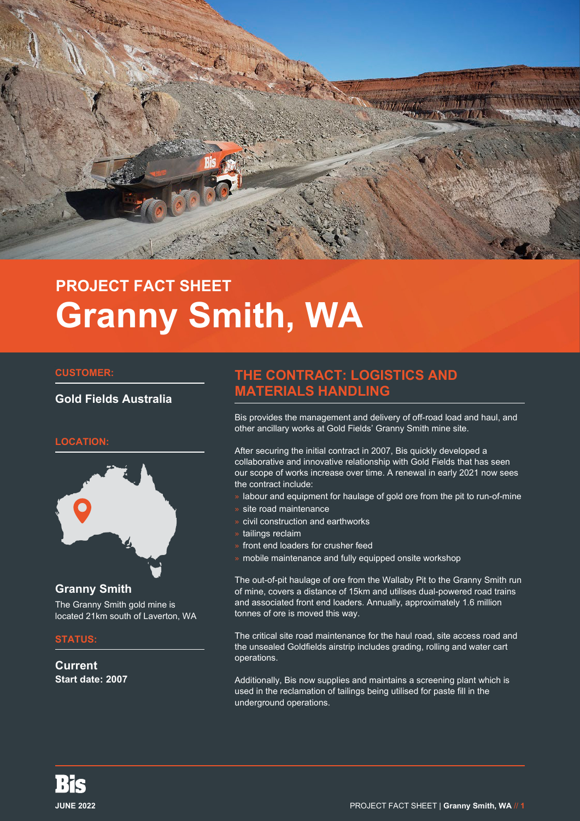

# **PROJECT FACT SHEET Granny Smith, WA**

### **CUSTOMER:**

### **Gold Fields Australia**

### **LOCATION:**



### **Granny Smith**

The Granny Smith gold mine is located 21km south of Laverton, WA

#### **STATUS:**

**Current Start date: 2007**

# **THE CONTRACT: LOGISTICS AND MATERIALS HANDLING**

Bis provides the management and delivery of off-road load and haul, and other ancillary works at Gold Fields' Granny Smith mine site.

After securing the initial contract in 2007, Bis quickly developed a collaborative and innovative relationship with Gold Fields that has seen our scope of works increase over time. A renewal in early 2021 now sees the contract include:

- » labour and equipment for haulage of gold ore from the pit to run-of-mine
- » site road maintenance
- » civil construction and earthworks
- tailings reclaim
- front end loaders for crusher feed
- » mobile maintenance and fully equipped onsite workshop

The out-of-pit haulage of ore from the Wallaby Pit to the Granny Smith run of mine, covers a distance of 15km and utilises dual-powered road trains and associated front end loaders. Annually, approximately 1.6 million tonnes of ore is moved this way.

The critical site road maintenance for the haul road, site access road and the unsealed Goldfields airstrip includes grading, rolling and water cart operations.

Additionally, Bis now supplies and maintains a screening plant which is used in the reclamation of tailings being utilised for paste fill in the underground operations.